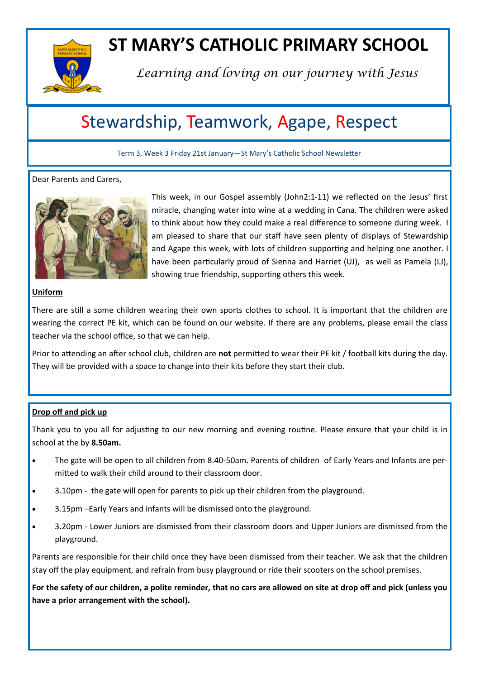

## **ST MARY'S CATHOLIC PRIMARY SCHOOL**

*Learning and loving on our journey with Jesus*

### Stewardship, Teamwork, Agape, Respect

Term 3, Week 3 Friday 21st January—St Mary's Catholic School Newsletter

#### Dear Parents and Carers,



This week, in our Gospel assembly (John2:1-11) we reflected on the Jesus' first miracle, changing water into wine at a wedding in Cana. The children were asked to think about how they could make a real difference to someone during week. I am pleased to share that our staff have seen plenty of displays of Stewardship and Agape this week, with lots of children supporting and helping one another. I have been particularly proud of Sienna and Harriet (UJ), as well as Pamela (LJ), showing true friendship, supporting others this week.

#### **Uniform**

There are still a some children wearing their own sports clothes to school. It is important that the children are wearing the correct PE kit, which can be found on our website. If there are any problems, please email the class teacher via the school office, so that we can help.

Prior to attending an after school club, children are **not** permitted to wear their PE kit / football kits during the day. They will be provided with a space to change into their kits before they start their club.

#### **Drop off and pick up**

Thank you to you all for adjusting to our new morning and evening routine. Please ensure that your child is in school at the by **8.50am.**

- The gate will be open to all children from 8.40-50am. Parents of children of Early Years and Infants are permitted to walk their child around to their classroom door.
- 3.10pm the gate will open for parents to pick up their children from the playground.
- 3.15pm –Early Years and infants will be dismissed onto the playground.
- 3.20pm Lower Juniors are dismissed from their classroom doors and Upper Juniors are dismissed from the playground.

Parents are responsible for their child once they have been dismissed from their teacher. We ask that the children stay off the play equipment, and refrain from busy playground or ride their scooters on the school premises.

**For the safety of our children, a polite reminder, that no cars are allowed on site at drop off and pick (unless you have a prior arrangement with the school).**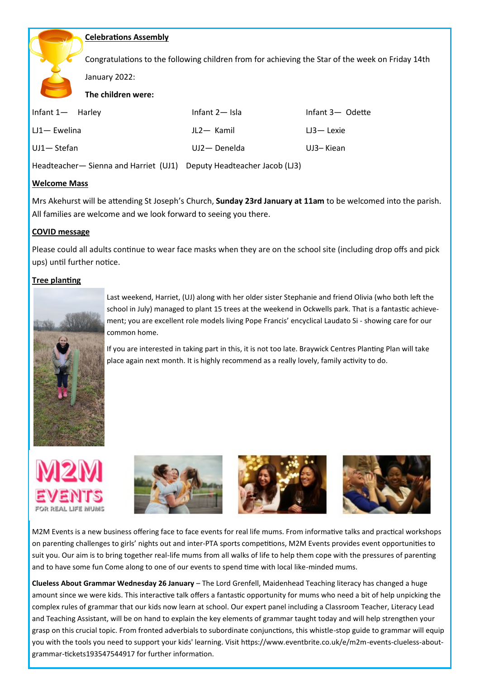#### **Celebrations Assembly**

Congratulations to the following children from for achieving the Star of the week on Friday 14th

January 2022:

**The children were:**

| Infant $1 -$ Harley | Infant $2-$ Isla | Infant 3- Odette |
|---------------------|------------------|------------------|
| $LJ1 - Ewelina$     | JL2- Kamil       | $L3 -$ Lexie     |
| UJ1-Stefan          | UJ2- Denelda     | UJ3-Kiean        |

Headteacher— Sienna and Harriet (UJ1) Deputy Headteacher Jacob (LJ3)

#### **Welcome Mass**

Mrs Akehurst will be attending St Joseph's Church, **Sunday 23rd January at 11am** to be welcomed into the parish. All families are welcome and we look forward to seeing you there.

#### **COVID message**

Please could all adults continue to wear face masks when they are on the school site (including drop offs and pick ups) until further notice.

#### **Tree planting**



Last weekend, Harriet, (UJ) along with her older sister Stephanie and friend Olivia (who both left the school in July) managed to plant 15 trees at the weekend in Ockwells park. That is a fantastic achievement; you are excellent role models living Pope Francis' encyclical Laudato Si - showing care for our common home.

If you are interested in taking part in this, it is not too late. Braywick Centres Planting Plan will take place again next month. It is highly recommend as a really lovely, family activity to do.







M2M Events is a new business offering face to face events for real life mums. From informative talks and practical workshops on parenting challenges to girls' nights out and inter-PTA sports competitions, M2M Events provides event opportunities to suit you. Our aim is to bring together real-life mums from all walks of life to help them cope with the pressures of parenting and to have some fun Come along to one of our events to spend time with local like-minded mums.

**Clueless About Grammar Wednesday 26 January** – The Lord Grenfell, Maidenhead Teaching literacy has changed a huge amount since we were kids. This interactive talk offers a fantastic opportunity for mums who need a bit of help unpicking the complex rules of grammar that our kids now learn at school. Our expert panel including a Classroom Teacher, Literacy Lead and Teaching Assistant, will be on hand to explain the key elements of grammar taught today and will help strengthen your grasp on this crucial topic. From fronted adverbials to subordinate conjunctions, this whistle-stop guide to grammar will equip you with the tools you need to support your kids' learning. Visit https://www.eventbrite.co.uk/e/m2m-events-clueless-aboutgrammar-tickets193547544917 for further information.